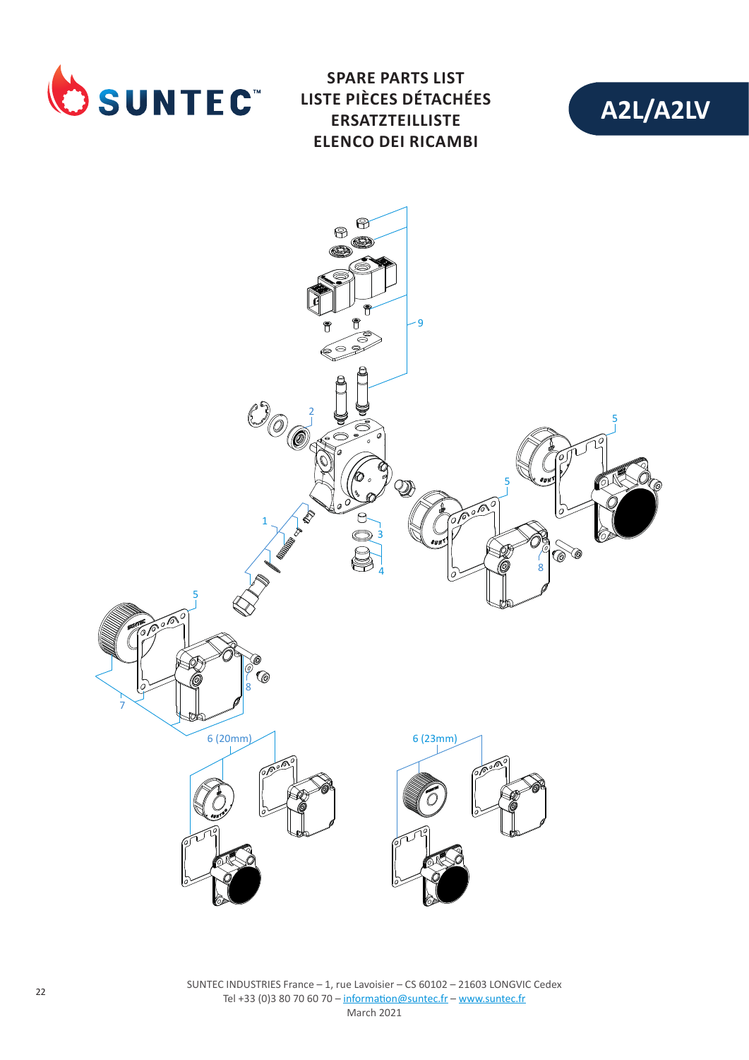

**SPARE PARTS LIST LISTE PIÈCES DÉTACHÉES ERSATZTEILLISTE ELENCO DEI RICAMBI**





SUNTEC INDUSTRIES France – 1, rue Lavoisier – CS 60102 – 21603 LONGVIC Cedex Tel +33 (0)3 80 70 60 70 – information@suntec.fr – www.suntec.fr March 2021